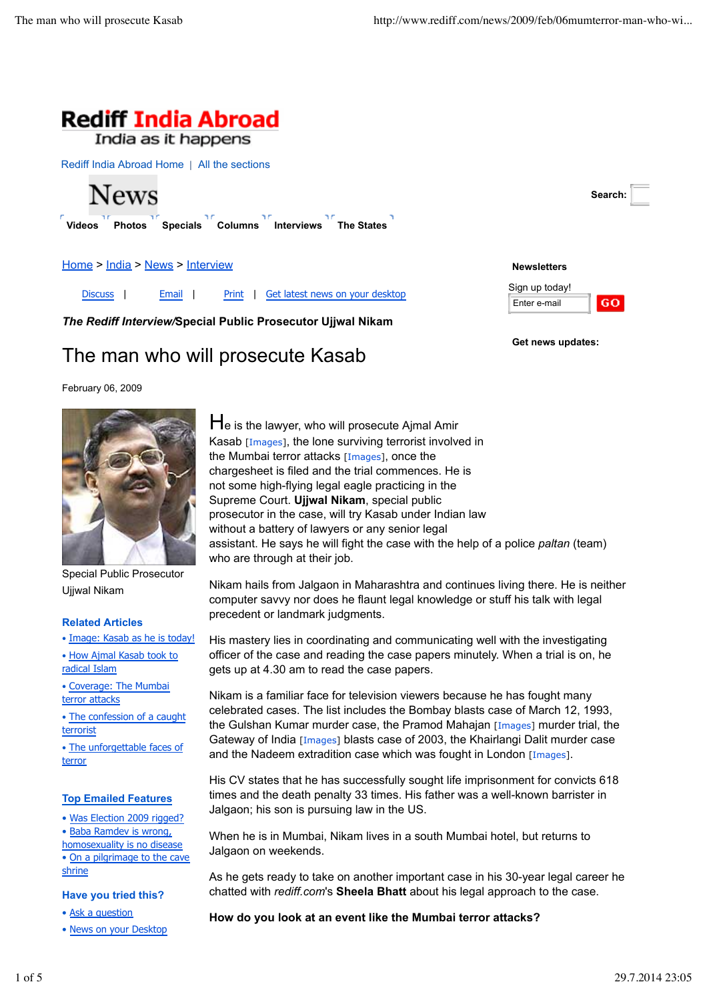**Newsletters** Sign up today! Enter e-mail

**Get news updates:**

**Search:**

GO.



India as it happens

Rediff India Abroad Home | All the sections



**Videos Photos Specials Columns Interviews The States**

Home > India > News > Interview

Discuss | Email | Print | Get latest news on your desktop

*The Rediff Interview/***Special Public Prosecutor Ujjwal Nikam**

# The man who will prosecute Kasab

February 06, 2009



Special Public Prosecutor Ujjwal Nikam

#### **Related Articles**

• Image: Kasab as he is today!

• How Ajmal Kasab took to radical Islam

• Coverage: The Mumbai terror attacks

• The confession of a caught terrorist

• The unforgettable faces of terror

#### **Top Emailed Features**

• Was Election 2009 rigged?

• Baba Ramdev is wrong, homosexuality is no disease

• On a pilgrimage to the cave shrine

#### **Have you tried this?**

• Ask a question

• News on your Desktop

He is the lawyer, who will prosecute Ajmal Amir Kasab [Images], the lone surviving terrorist involved in the Mumbai terror attacks [Images], once the chargesheet is filed and the trial commences. He is not some high-flying legal eagle practicing in the Supreme Court. **Ujjwal Nikam**, special public prosecutor in the case, will try Kasab under Indian law without a battery of lawyers or any senior legal assistant. He says he will fight the case with the help of a police *paltan* (team) who are through at their job.

Nikam hails from Jalgaon in Maharashtra and continues living there. He is neither computer savvy nor does he flaunt legal knowledge or stuff his talk with legal precedent or landmark judgments.

His mastery lies in coordinating and communicating well with the investigating officer of the case and reading the case papers minutely. When a trial is on, he gets up at 4.30 am to read the case papers.

Nikam is a familiar face for television viewers because he has fought many celebrated cases. The list includes the Bombay blasts case of March 12, 1993, the Gulshan Kumar murder case, the Pramod Mahajan [Images] murder trial, the Gateway of India [Images] blasts case of 2003, the Khairlangi Dalit murder case and the Nadeem extradition case which was fought in London [Images].

His CV states that he has successfully sought life imprisonment for convicts 618 times and the death penalty 33 times. His father was a well-known barrister in Jalgaon; his son is pursuing law in the US.

When he is in Mumbai, Nikam lives in a south Mumbai hotel, but returns to Jalgaon on weekends.

As he gets ready to take on another important case in his 30-year legal career he chatted with *rediff.com*'s **Sheela Bhatt** about his legal approach to the case.

**How do you look at an event like the Mumbai terror attacks?**